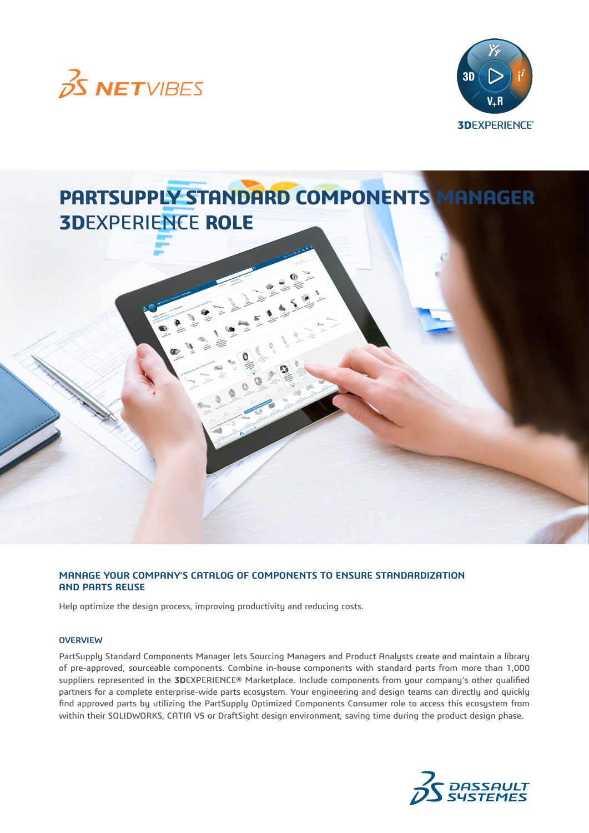



# **PARTSUPPLY STANDARD COMPONENTS MANAGER 3D**EXPERIENCE **ROLE**

#### **MANAGE YOUR COMPANY'S CATALOG OF COMPONENTS TO ENSURE STANDARDIZATION AND PARTS REUSE**

Help optimize the design process, improving productivity and reducing costs.

#### **OVERVIEW**

PartSupply Standard Components Manager lets Sourcing Managers and Product Analysts create and maintain a library of pre-approved, sourceable components. Combine in-house components with standard parts from more than 1,000 suppliers represented in the **3D**EXPERIENCE® Marketplace. Include components from your company's other qualified partners for a complete enterprise-wide parts ecosystem. Your engineering and design teams can directly and quickly find approved parts by utilizing the PartSupply Optimized Components Consumer role to access this ecosystem from within their SOLIDWORKS, CATIA V5 or DraftSight design environment, saving time during the product design phase.